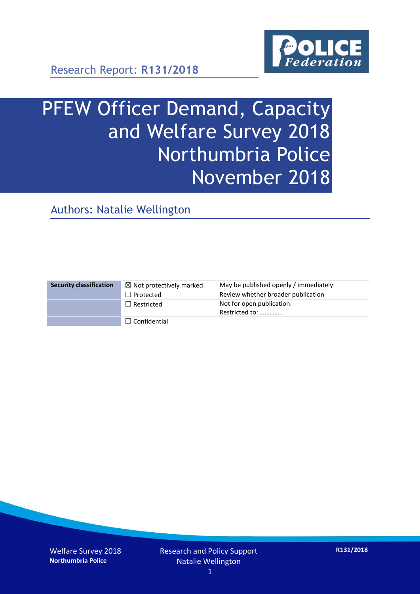

Research Report: **R131/2018**

# PFEW Officer Demand, Capacity and Welfare Survey 2018 Northumbria Police November 2018

Authors: Natalie Wellington

| <b>Security classification</b> | $\boxtimes$ Not protectively marked | May be published openly / immediately       |
|--------------------------------|-------------------------------------|---------------------------------------------|
|                                | $\Box$ Protected                    | Review whether broader publication          |
|                                | $\Box$ Restricted                   | Not for open publication.<br>Restricted to: |
|                                | $\Box$ Confidential                 |                                             |

Welfare Survey 2018 **Northumbria Police**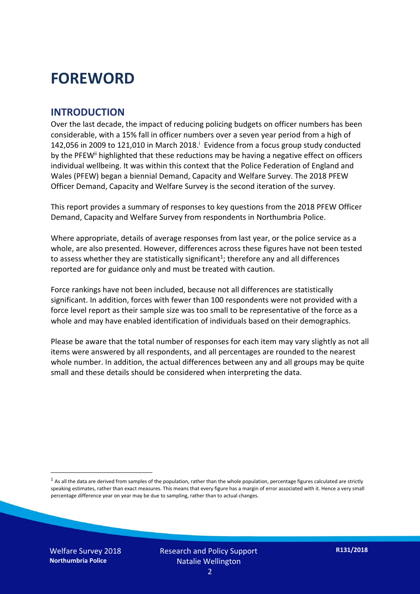### **FOREWORD**

#### **INTRODUCTION**

Over the last decade, the impact of reducing policing budgets on officer numbers has been considerable, with a 15% fall in officer numbers over a seven year period from a high of 142,056 in 2009 to 121,010 in March 2018. $^{\mathrm{i}}$  Evidence from a focus group study conducted by the PFEW<sup>ii</sup> highlighted that these reductions may be having a negative effect on officers individual wellbeing. It was within this context that the Police Federation of England and Wales (PFEW) began a biennial Demand, Capacity and Welfare Survey. The 2018 PFEW Officer Demand, Capacity and Welfare Survey is the second iteration of the survey.

This report provides a summary of responses to key questions from the 2018 PFEW Officer Demand, Capacity and Welfare Survey from respondents in Northumbria Police.

Where appropriate, details of average responses from last year, or the police service as a whole, are also presented. However, differences across these figures have not been tested to assess whether they are statistically significant<sup>1</sup>; therefore any and all differences reported are for guidance only and must be treated with caution.

Force rankings have not been included, because not all differences are statistically significant. In addition, forces with fewer than 100 respondents were not provided with a force level report as their sample size was too small to be representative of the force as a whole and may have enabled identification of individuals based on their demographics.

Please be aware that the total number of responses for each item may vary slightly as not all items were answered by all respondents, and all percentages are rounded to the nearest whole number. In addition, the actual differences between any and all groups may be quite small and these details should be considered when interpreting the data.

 $<sup>1</sup>$  As all the data are derived from samples of the population, rather than the whole population, percentage figures calculated are strictly</sup> speaking estimates, rather than exact measures. This means that every figure has a margin of error associated with it. Hence a very small percentage difference year on year may be due to sampling, rather than to actual changes.

Welfare Survey 2018 **Northumbria Police**

-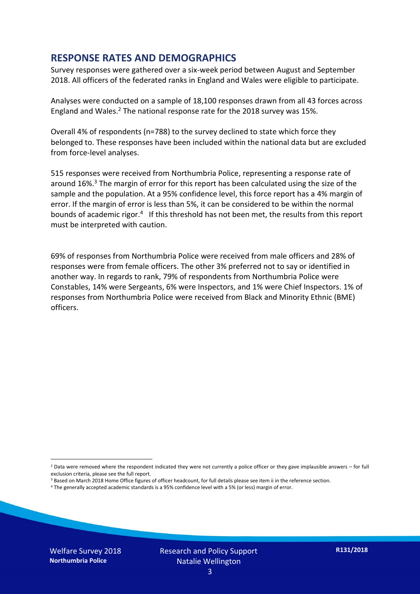#### **RESPONSE RATES AND DEMOGRAPHICS**

Survey responses were gathered over a six-week period between August and September 2018. All officers of the federated ranks in England and Wales were eligible to participate.

Analyses were conducted on a sample of 18,100 responses drawn from all 43 forces across England and Wales.<sup>2</sup> The national response rate for the 2018 survey was 15%.

Overall 4% of respondents (n=788) to the survey declined to state which force they belonged to. These responses have been included within the national data but are excluded from force-level analyses.

515 responses were received from Northumbria Police, representing a response rate of around 16%. <sup>3</sup> The margin of error for this report has been calculated using the size of the sample and the population. At a 95% confidence level, this force report has a 4% margin of error. If the margin of error is less than 5%, it can be considered to be within the normal bounds of academic rigor.<sup>4</sup> If this threshold has not been met, the results from this report must be interpreted with caution.

69% of responses from Northumbria Police were received from male officers and 28% of responses were from female officers. The other 3% preferred not to say or identified in another way. In regards to rank, 79% of respondents from Northumbria Police were Constables, 14% were Sergeants, 6% were Inspectors, and 1% were Chief Inspectors. 1% of responses from Northumbria Police were received from Black and Minority Ethnic (BME) officers.

-

 $2$  Data were removed where the respondent indicated they were not currently a police officer or they gave implausible answers – for full exclusion criteria, please see the full report.

<sup>3</sup> Based on March 2018 Home Office figures of officer headcount, for full details please see item ii in the reference section.

<sup>4</sup> The generally accepted academic standards is a 95% confidence level with a 5% (or less) margin of error.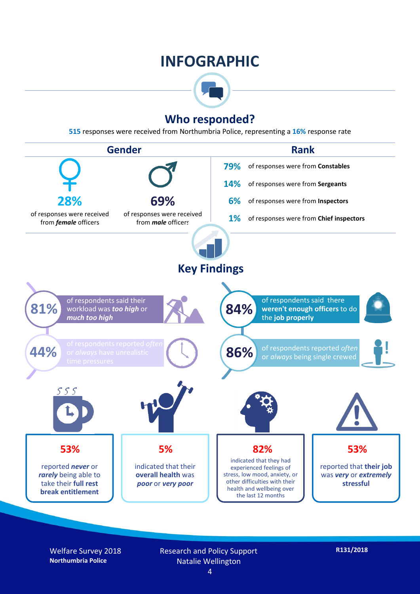### **INFOGRAPHIC**



#### **Who responded?**

**515** responses were received from Northumbria Police, representing a **16%** response rate



Welfare Survey 2018 **Northumbria Police**

Research and Policy Support Natalie Wellington 4

**R131/2018**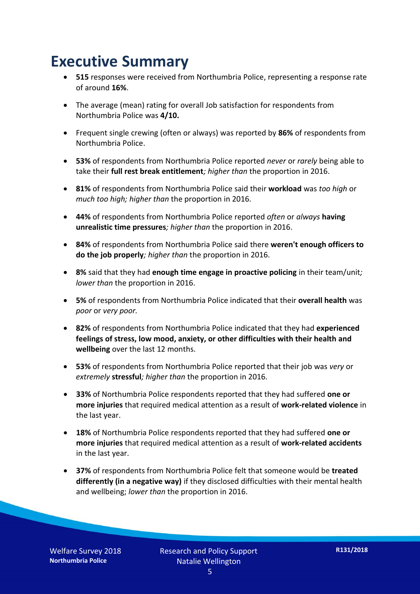### **Executive Summary**

- **515** responses were received from Northumbria Police, representing a response rate of around **16%**.
- The average (mean) rating for overall Job satisfaction for respondents from Northumbria Police was **4/10.**
- Frequent single crewing (often or always) was reported by **86%** of respondents from Northumbria Police.
- **53%** of respondents from Northumbria Police reported *never* or *rarely* being able to take their **full rest break entitlement***; higher than* the proportion in 2016.
- **81%** of respondents from Northumbria Police said their **workload** was *too high* or *much too high; higher than* the proportion in 2016.
- **44%** of respondents from Northumbria Police reported *often* or *always* **having unrealistic time pressures***; higher than* the proportion in 2016.
- **84%** of respondents from Northumbria Police said there **weren't enough officers to do the job properly***; higher than* the proportion in 2016.
- **8%** said that they had **enough time engage in proactive policing** in their team/unit*; lower than* the proportion in 2016.
- **5%** of respondents from Northumbria Police indicated that their **overall health** was *poor* or *very poor.*
- **82%** of respondents from Northumbria Police indicated that they had **experienced feelings of stress, low mood, anxiety, or other difficulties with their health and wellbeing** over the last 12 months.
- **53%** of respondents from Northumbria Police reported that their job was *very* or *extremely* **stressful***; higher than* the proportion in 2016.
- **33%** of Northumbria Police respondents reported that they had suffered **one or more injuries** that required medical attention as a result of **work-related violence** in the last year.
- **18%** of Northumbria Police respondents reported that they had suffered **one or more injuries** that required medical attention as a result of **work-related accidents**  in the last year.
- **37%** of respondents from Northumbria Police felt that someone would be **treated differently (in a negative way)** if they disclosed difficulties with their mental health and wellbeing; *lower than* the proportion in 2016.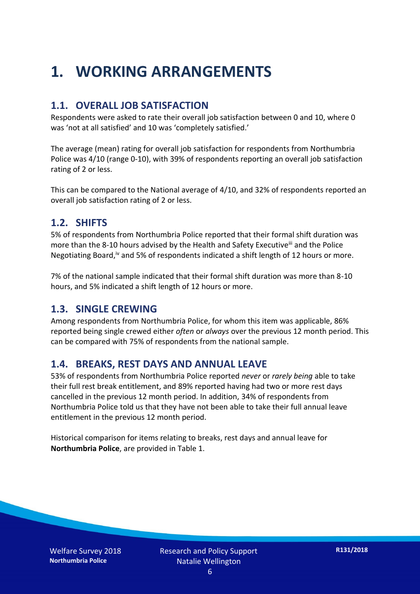### **1. WORKING ARRANGEMENTS**

#### **1.1. OVERALL JOB SATISFACTION**

Respondents were asked to rate their overall job satisfaction between 0 and 10, where 0 was 'not at all satisfied' and 10 was 'completely satisfied.'

The average (mean) rating for overall job satisfaction for respondents from Northumbria Police was 4/10 (range 0-10), with 39% of respondents reporting an overall job satisfaction rating of 2 or less.

This can be compared to the National average of 4/10, and 32% of respondents reported an overall job satisfaction rating of 2 or less.

#### **1.2. SHIFTS**

5% of respondents from Northumbria Police reported that their formal shift duration was more than the 8-10 hours advised by the Health and Safety Executive<sup>iii</sup> and the Police Negotiating Board,<sup>iv</sup> and 5% of respondents indicated a shift length of 12 hours or more.

7% of the national sample indicated that their formal shift duration was more than 8-10 hours, and 5% indicated a shift length of 12 hours or more.

#### **1.3. SINGLE CREWING**

Among respondents from Northumbria Police, for whom this item was applicable, 86% reported being single crewed either *often* or *always* over the previous 12 month period. This can be compared with 75% of respondents from the national sample.

#### **1.4. BREAKS, REST DAYS AND ANNUAL LEAVE**

53% of respondents from Northumbria Police reported *never* or *rarely being* able to take their full rest break entitlement, and 89% reported having had two or more rest days cancelled in the previous 12 month period. In addition, 34% of respondents from Northumbria Police told us that they have not been able to take their full annual leave entitlement in the previous 12 month period.

Historical comparison for items relating to breaks, rest days and annual leave for **Northumbria Police**, are provided in Table 1.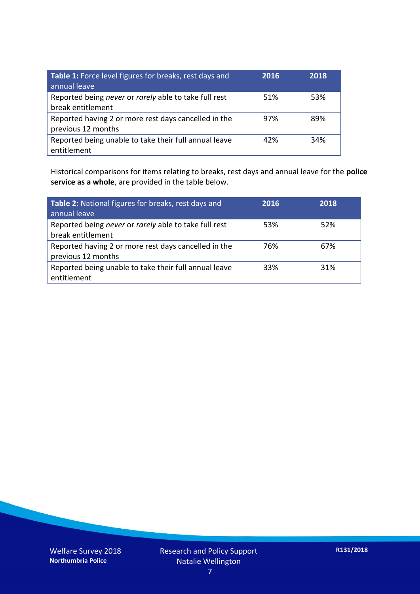| Table 1: Force level figures for breaks, rest days and<br>annual leave     | 2016 | 2018 |
|----------------------------------------------------------------------------|------|------|
| Reported being never or rarely able to take full rest<br>break entitlement | 51%  | 53%  |
| Reported having 2 or more rest days cancelled in the<br>previous 12 months | 97%  | 89%  |
| Reported being unable to take their full annual leave<br>entitlement       | 42%  | 34%  |

Historical comparisons for items relating to breaks, rest days and annual leave for the **police service as a whole**, are provided in the table below.

| Table 2: National figures for breaks, rest days and<br>annual leave        | 2016 | 2018 |
|----------------------------------------------------------------------------|------|------|
| Reported being never or rarely able to take full rest<br>break entitlement | 53%  | 52%  |
| Reported having 2 or more rest days cancelled in the<br>previous 12 months | 76%  | 67%  |
| Reported being unable to take their full annual leave<br>entitlement       | 33%  | 31%  |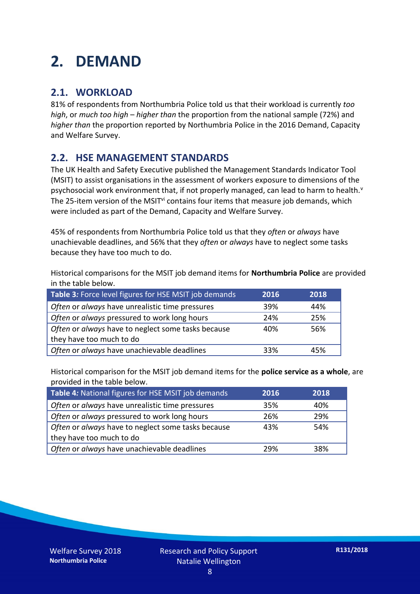### **2. DEMAND**

#### **2.1. WORKLOAD**

81% of respondents from Northumbria Police told us that their workload is currently *too high*, or *much too high* – *higher than* the proportion from the national sample (72%) and *higher than* the proportion reported by Northumbria Police in the 2016 Demand, Capacity and Welfare Survey.

#### **2.2. HSE MANAGEMENT STANDARDS**

The UK Health and Safety Executive published the Management Standards Indicator Tool (MSIT) to assist organisations in the assessment of workers exposure to dimensions of the psychosocial work environment that, if not properly managed, can lead to harm to health.<sup>v</sup> The 25-item version of the MSIT<sup>vi</sup> contains four items that measure job demands, which were included as part of the Demand, Capacity and Welfare Survey.

45% of respondents from Northumbria Police told us that they *often* or *always* have unachievable deadlines, and 56% that they *often* or *always* have to neglect some tasks because they have too much to do.

Historical comparisons for the MSIT job demand items for **Northumbria Police** are provided in the table below.

| Table 3: Force level figures for HSE MSIT job demands | 2016 | 2018 |
|-------------------------------------------------------|------|------|
| Often or always have unrealistic time pressures       | 39%  | 44%  |
| Often or always pressured to work long hours          | 24%  | 25%  |
| Often or always have to neglect some tasks because    | 40%  | 56%  |
| they have too much to do                              |      |      |
| Often or always have unachievable deadlines           | 33%  | 45%  |

Historical comparison for the MSIT job demand items for the **police service as a whole**, are provided in the table below.

| Table 4: National figures for HSE MSIT job demands | 2016 | 2018 |
|----------------------------------------------------|------|------|
| Often or always have unrealistic time pressures    | 35%  | 40%  |
| Often or always pressured to work long hours       | 26%  | 29%  |
| Often or always have to neglect some tasks because | 43%  | 54%  |
| they have too much to do                           |      |      |
| Often or always have unachievable deadlines        | 29%  | 38%  |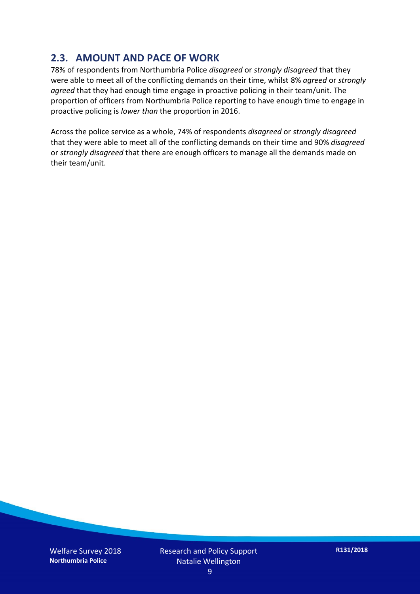#### **2.3. AMOUNT AND PACE OF WORK**

78% of respondents from Northumbria Police *disagreed* or *strongly disagreed* that they were able to meet all of the conflicting demands on their time, whilst 8% *agreed* or *strongly agreed* that they had enough time engage in proactive policing in their team/unit. The proportion of officers from Northumbria Police reporting to have enough time to engage in proactive policing is *lower than* the proportion in 2016.

Across the police service as a whole, 74% of respondents *disagreed* or *strongly disagreed* that they were able to meet all of the conflicting demands on their time and 90% *disagreed* or *strongly disagreed* that there are enough officers to manage all the demands made on their team/unit.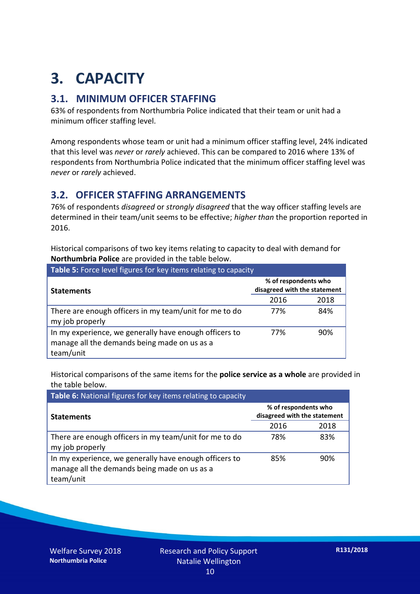## **3. CAPACITY**

#### **3.1. MINIMUM OFFICER STAFFING**

63% of respondents from Northumbria Police indicated that their team or unit had a minimum officer staffing level.

Among respondents whose team or unit had a minimum officer staffing level, 24% indicated that this level was *never* or *rarely* achieved. This can be compared to 2016 where 13% of respondents from Northumbria Police indicated that the minimum officer staffing level was *never* or *rarely* achieved.

#### **3.2. OFFICER STAFFING ARRANGEMENTS**

76% of respondents *disagreed* or *strongly disagreed* that the way officer staffing levels are determined in their team/unit seems to be effective; *higher than* the proportion reported in 2016.

Historical comparisons of two key items relating to capacity to deal with demand for **Northumbria Police** are provided in the table below.

| <b>Table 5:</b> Force level figures for key items relating to capacity                                              |                                                      |      |  |
|---------------------------------------------------------------------------------------------------------------------|------------------------------------------------------|------|--|
| <b>Statements</b>                                                                                                   | % of respondents who<br>disagreed with the statement |      |  |
|                                                                                                                     | 2016                                                 | 2018 |  |
| There are enough officers in my team/unit for me to do<br>my job properly                                           | 77%                                                  | 84%  |  |
| In my experience, we generally have enough officers to<br>manage all the demands being made on us as a<br>team/unit | 77%                                                  | 90%  |  |

Historical comparisons of the same items for the **police service as a whole** are provided in the table below.

| Table 6: National figures for key items relating to capacity                                                        |                                                      |      |  |  |
|---------------------------------------------------------------------------------------------------------------------|------------------------------------------------------|------|--|--|
| <b>Statements</b>                                                                                                   | % of respondents who<br>disagreed with the statement |      |  |  |
|                                                                                                                     | 2016                                                 | 2018 |  |  |
| There are enough officers in my team/unit for me to do<br>my job properly                                           | 78%                                                  | 83%  |  |  |
| In my experience, we generally have enough officers to<br>manage all the demands being made on us as a<br>team/unit | 85%                                                  | 90%  |  |  |

Welfare Survey 2018 **Northumbria Police**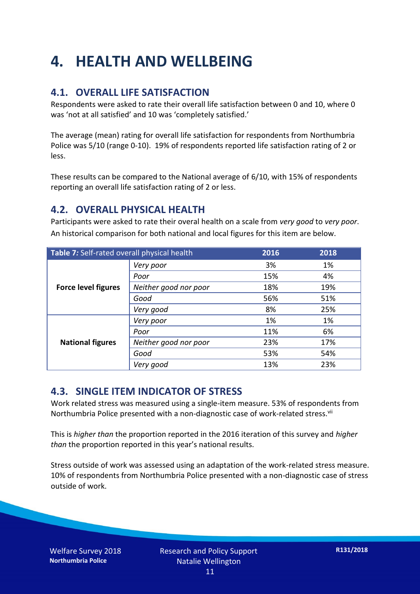### **4. HEALTH AND WELLBEING**

#### **4.1. OVERALL LIFE SATISFACTION**

Respondents were asked to rate their overall life satisfaction between 0 and 10, where 0 was 'not at all satisfied' and 10 was 'completely satisfied.'

The average (mean) rating for overall life satisfaction for respondents from Northumbria Police was 5/10 (range 0-10). 19% of respondents reported life satisfaction rating of 2 or less.

These results can be compared to the National average of 6/10, with 15% of respondents reporting an overall life satisfaction rating of 2 or less.

#### **4.2. OVERALL PHYSICAL HEALTH**

Participants were asked to rate their overal health on a scale from *very good* to *very poor*. An historical comparison for both national and local figures for this item are below.

| Table 7: Self-rated overall physical health |                       | 2016 | 2018 |
|---------------------------------------------|-----------------------|------|------|
| <b>Force level figures</b>                  | Very poor             | 3%   | 1%   |
|                                             | Poor                  | 15%  | 4%   |
|                                             | Neither good nor poor | 18%  | 19%  |
|                                             | Good                  | 56%  | 51%  |
|                                             | Very good             | 8%   | 25%  |
| <b>National figures</b>                     | Very poor             | 1%   | 1%   |
|                                             | Poor                  | 11%  | 6%   |
|                                             | Neither good nor poor | 23%  | 17%  |
|                                             | Good                  | 53%  | 54%  |
|                                             | Very good             | 13%  | 23%  |

#### **4.3. SINGLE ITEM INDICATOR OF STRESS**

Work related stress was measured using a single-item measure. 53% of respondents from Northumbria Police presented with a non-diagnostic case of work-related stress.<sup>vii</sup>

This is *higher than* the proportion reported in the 2016 iteration of this survey and *higher than* the proportion reported in this year's national results.

Stress outside of work was assessed using an adaptation of the work-related stress measure. 10% of respondents from Northumbria Police presented with a non-diagnostic case of stress outside of work.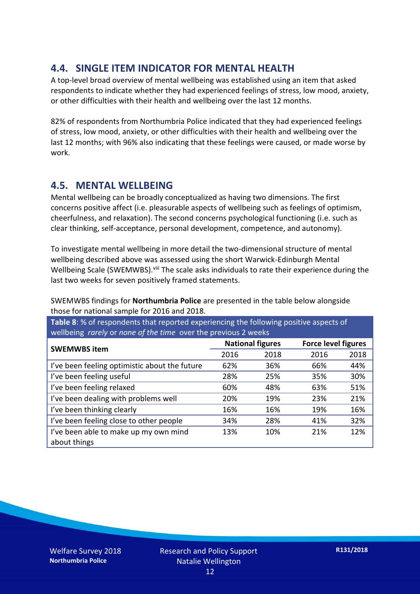#### **4.4. SINGLE ITEM INDICATOR FOR MENTAL HEALTH**

A top-level broad overview of mental wellbeing was established using an item that asked respondents to indicate whether they had experienced feelings of stress, low mood, anxiety, or other difficulties with their health and wellbeing over the last 12 months.

82% of respondents from Northumbria Police indicated that they had experienced feelings of stress, low mood, anxiety, or other difficulties with their health and wellbeing over the last 12 months; with 96% also indicating that these feelings were caused, or made worse by work.

#### **4.5. MENTAL WELLBEING**

Mental wellbeing can be broadly conceptualized as having two dimensions. The first concerns positive affect (i.e. pleasurable aspects of wellbeing such as feelings of optimism, cheerfulness, and relaxation). The second concerns psychological functioning (i.e. such as clear thinking, self-acceptance, personal development, competence, and autonomy).

To investigate mental wellbeing in more detail the two-dimensional structure of mental wellbeing described above was assessed using the short Warwick-Edinburgh Mental Wellbeing Scale (SWEMWBS). viii The scale asks individuals to rate their experience during the last two weeks for seven positively framed statements.

SWEMWBS findings for **Northumbria Police** are presented in the table below alongside those for national sample for 2016 and 2018.

**Table 8**: % of respondents that reported experiencing the following positive aspects of wellbeing *rarely* or *none of the time* over the previous 2 weeks

| <b>SWEMWBS item</b>                           | <b>National figures</b> |      | <b>Force level figures</b> |      |
|-----------------------------------------------|-------------------------|------|----------------------------|------|
|                                               | 2016                    | 2018 | 2016                       | 2018 |
| I've been feeling optimistic about the future | 62%                     | 36%  | 66%                        | 44%  |
| I've been feeling useful                      | 28%                     | 25%  | 35%                        | 30%  |
| I've been feeling relaxed                     | 60%                     | 48%  | 63%                        | 51%  |
| I've been dealing with problems well          | 20%                     | 19%  | 23%                        | 21%  |
| I've been thinking clearly                    | 16%                     | 16%  | 19%                        | 16%  |
| I've been feeling close to other people       | 34%                     | 28%  | 41%                        | 32%  |
| I've been able to make up my own mind         | 13%                     | 10%  | 21%                        | 12%  |
| about things                                  |                         |      |                            |      |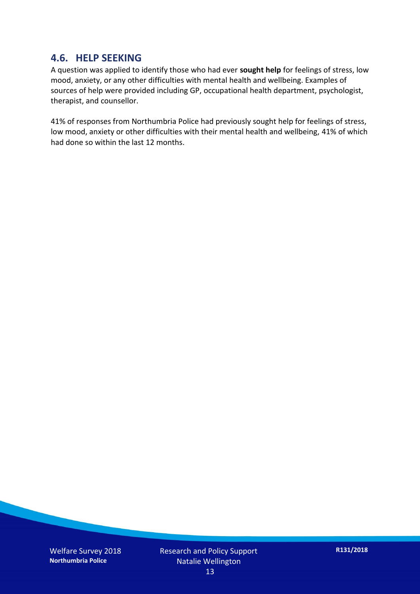#### **4.6. HELP SEEKING**

A question was applied to identify those who had ever **sought help** for feelings of stress, low mood, anxiety, or any other difficulties with mental health and wellbeing. Examples of sources of help were provided including GP, occupational health department, psychologist, therapist, and counsellor.

41% of responses from Northumbria Police had previously sought help for feelings of stress, low mood, anxiety or other difficulties with their mental health and wellbeing, 41% of which had done so within the last 12 months.

Welfare Survey 2018 **Northumbria Police**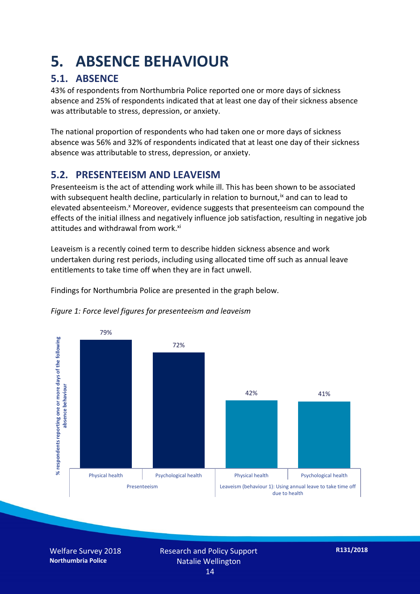### **5. ABSENCE BEHAVIOUR**

#### **5.1. ABSENCE**

43% of respondents from Northumbria Police reported one or more days of sickness absence and 25% of respondents indicated that at least one day of their sickness absence was attributable to stress, depression, or anxiety.

The national proportion of respondents who had taken one or more days of sickness absence was 56% and 32% of respondents indicated that at least one day of their sickness absence was attributable to stress, depression, or anxiety.

#### **5.2. PRESENTEEISM AND LEAVEISM**

Presenteeism is the act of attending work while ill. This has been shown to be associated with subsequent health decline, particularly in relation to burnout,  $\alpha$  and can to lead to elevated absenteeism.<sup>x</sup> Moreover, evidence suggests that presenteeism can compound the effects of the initial illness and negatively influence job satisfaction, resulting in negative job attitudes and withdrawal from work.<sup>xi</sup>

Leaveism is a recently coined term to describe hidden sickness absence and work undertaken during rest periods, including using allocated time off such as annual leave entitlements to take time off when they are in fact unwell.

Findings for Northumbria Police are presented in the graph below.





Welfare Survey 2018 **Northumbria Police**

Research and Policy Support Natalie Wellington 14

**R131/2018**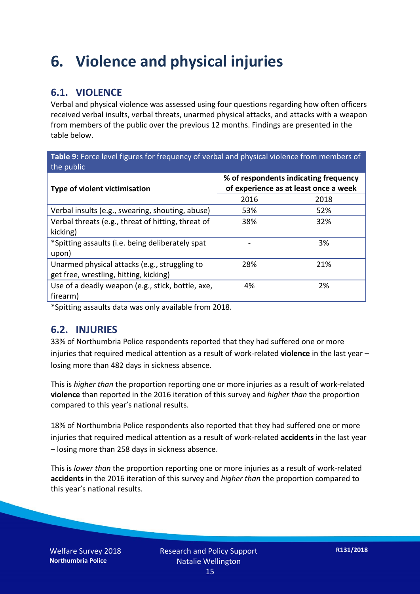### **6. Violence and physical injuries**

#### **6.1. VIOLENCE**

Verbal and physical violence was assessed using four questions regarding how often officers received verbal insults, verbal threats, unarmed physical attacks, and attacks with a weapon from members of the public over the previous 12 months. Findings are presented in the table below.

**Table 9:** Force level figures for frequency of verbal and physical violence from members of the public

| Type of violent victimisation                      | % of respondents indicating frequency<br>of experience as at least once a week |      |  |
|----------------------------------------------------|--------------------------------------------------------------------------------|------|--|
|                                                    | 2016                                                                           | 2018 |  |
| Verbal insults (e.g., swearing, shouting, abuse)   | 53%                                                                            | 52%  |  |
| Verbal threats (e.g., threat of hitting, threat of | 38%                                                                            | 32%  |  |
| kicking)                                           |                                                                                |      |  |
| *Spitting assaults (i.e. being deliberately spat   |                                                                                | 3%   |  |
| upon)                                              |                                                                                |      |  |
| Unarmed physical attacks (e.g., struggling to      | 28%                                                                            | 21%  |  |
| get free, wrestling, hitting, kicking)             |                                                                                |      |  |
| Use of a deadly weapon (e.g., stick, bottle, axe,  | 4%                                                                             | 2%   |  |
| firearm)                                           |                                                                                |      |  |

\*Spitting assaults data was only available from 2018.

#### **6.2. INJURIES**

33% of Northumbria Police respondents reported that they had suffered one or more injuries that required medical attention as a result of work-related **violence** in the last year – losing more than 482 days in sickness absence.

This is *higher than* the proportion reporting one or more injuries as a result of work-related **violence** than reported in the 2016 iteration of this survey and *higher than* the proportion compared to this year's national results.

18% of Northumbria Police respondents also reported that they had suffered one or more injuries that required medical attention as a result of work-related **accidents** in the last year – losing more than 258 days in sickness absence.

This is *lower than* the proportion reporting one or more injuries as a result of work-related **accidents** in the 2016 iteration of this survey and *higher than* the proportion compared to this year's national results.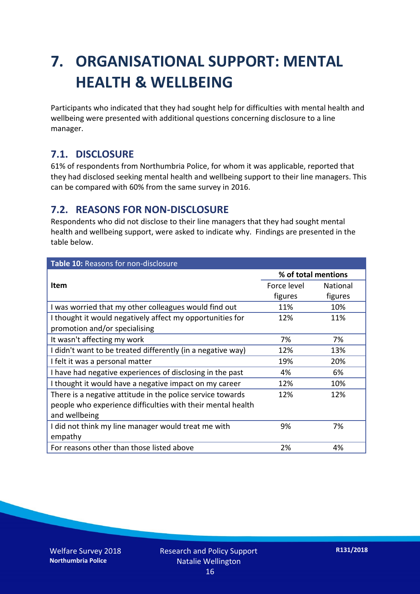### **7. ORGANISATIONAL SUPPORT: MENTAL HEALTH & WELLBEING**

Participants who indicated that they had sought help for difficulties with mental health and wellbeing were presented with additional questions concerning disclosure to a line manager.

#### **7.1. DISCLOSURE**

61% of respondents from Northumbria Police, for whom it was applicable, reported that they had disclosed seeking mental health and wellbeing support to their line managers. This can be compared with 60% from the same survey in 2016.

#### **7.2. REASONS FOR NON-DISCLOSURE**

Respondents who did not disclose to their line managers that they had sought mental health and wellbeing support, were asked to indicate why. Findings are presented in the table below.

| Table 10: Reasons for non-disclosure                        |                     |                 |  |
|-------------------------------------------------------------|---------------------|-----------------|--|
|                                                             | % of total mentions |                 |  |
| Item                                                        | Force level         | <b>National</b> |  |
|                                                             | figures             | figures         |  |
| I was worried that my other colleagues would find out       | 11%                 | 10%             |  |
| I thought it would negatively affect my opportunities for   | 12%                 | 11%             |  |
| promotion and/or specialising                               |                     |                 |  |
| It wasn't affecting my work                                 | 7%                  | 7%              |  |
| I didn't want to be treated differently (in a negative way) | 12%                 | 13%             |  |
| I felt it was a personal matter                             | 19%                 | 20%             |  |
| I have had negative experiences of disclosing in the past   | 4%                  | 6%              |  |
| I thought it would have a negative impact on my career      | 12%                 | 10%             |  |
| There is a negative attitude in the police service towards  | 12%                 | 12%             |  |
| people who experience difficulties with their mental health |                     |                 |  |
| and wellbeing                                               |                     |                 |  |
| I did not think my line manager would treat me with         | 9%                  | 7%              |  |
| empathy                                                     |                     |                 |  |
| For reasons other than those listed above                   | 2%                  | 4%              |  |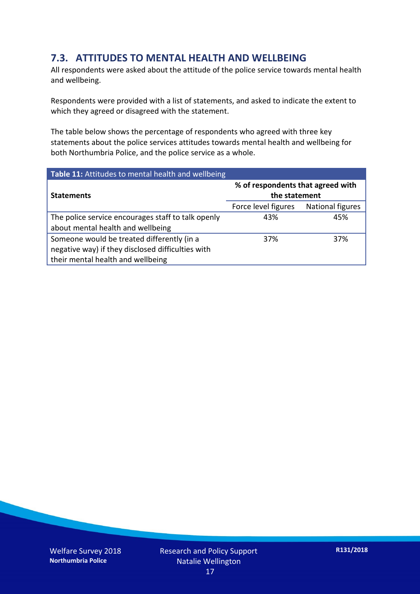#### **7.3. ATTITUDES TO MENTAL HEALTH AND WELLBEING**

All respondents were asked about the attitude of the police service towards mental health and wellbeing.

Respondents were provided with a list of statements, and asked to indicate the extent to which they agreed or disagreed with the statement.

The table below shows the percentage of respondents who agreed with three key statements about the police services attitudes towards mental health and wellbeing for both Northumbria Police, and the police service as a whole.

| Table 11: Attitudes to mental health and wellbeing |                                                    |                  |  |
|----------------------------------------------------|----------------------------------------------------|------------------|--|
| <b>Statements</b>                                  | % of respondents that agreed with<br>the statement |                  |  |
|                                                    | Force level figures                                | National figures |  |
| The police service encourages staff to talk openly | 43%                                                | 45%              |  |
| about mental health and wellbeing                  |                                                    |                  |  |
| Someone would be treated differently (in a         | 37%                                                | 37%              |  |
| negative way) if they disclosed difficulties with  |                                                    |                  |  |
| their mental health and wellbeing                  |                                                    |                  |  |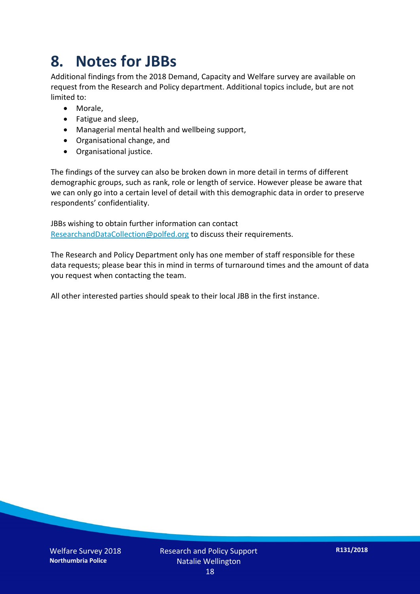### **8. Notes for JBBs**

Additional findings from the 2018 Demand, Capacity and Welfare survey are available on request from the Research and Policy department. Additional topics include, but are not limited to:

- Morale,
- Fatigue and sleep,
- Managerial mental health and wellbeing support,
- Organisational change, and
- Organisational justice.

The findings of the survey can also be broken down in more detail in terms of different demographic groups, such as rank, role or length of service. However please be aware that we can only go into a certain level of detail with this demographic data in order to preserve respondents' confidentiality.

JBBs wishing to obtain further information can contact [ResearchandDataCollection@polfed.org](mailto:ResearchandDataCollection@polfed.org) to discuss their requirements.

The Research and Policy Department only has one member of staff responsible for these data requests; please bear this in mind in terms of turnaround times and the amount of data you request when contacting the team.

All other interested parties should speak to their local JBB in the first instance.